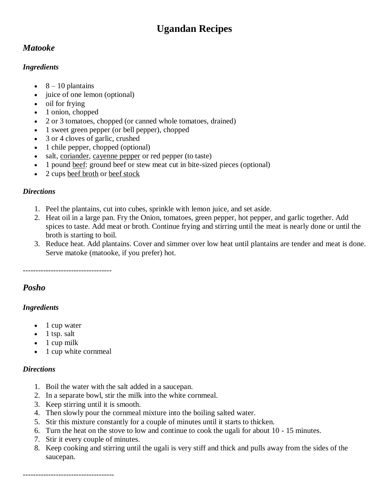# **Ugandan Recipes**

### *Matooke*

#### *Ingredients*

- $\bullet$  8 10 [plantains](http://recipes.wikia.com/wiki/Plantain)
- juice of one [lemon](http://recipes.wikia.com/wiki/Lemon) (optional)
- [oil](http://recipes.wikia.com/wiki/Oil) for frying
- 1 [onion,](http://recipes.wikia.com/wiki/Onion) chopped
- 2 or 3 [tomatoes,](http://recipes.wikia.com/wiki/Tomato) chopped (or canned whole [tomatoes,](http://recipes.wikia.com/wiki/Tomato) drained)
- 1 sweet [green pepper](http://recipes.wikia.com/wiki/Green_bell_pepper) (or [bell pepper\)](http://recipes.wikia.com/wiki/Bell_pepper), chopped
- 3 or 4 cloves of [garlic,](http://recipes.wikia.com/wiki/Garlic) crushed
- 1 [chile pepper,](http://recipes.wikia.com/wiki/Chile_pepper) chopped (optional)
- [salt,](http://recipes.wikia.com/wiki/Salt) [coriander,](http://recipes.wikia.com/wiki/Coriander) [cayenne pepper](http://recipes.wikia.com/wiki/Cayenne_pepper) or red pepper (to taste)
- 1 pound [beef:](http://recipes.wikia.com/wiki/Beef) [ground beef](http://recipes.wikia.com/wiki/Ground_beef) or stew [meat](http://recipes.wikia.com/wiki/Meat) cut in bite-sized pieces (optional)
- 2 cups [beef broth](http://recipes.wikia.com/wiki/Beef_broth) or [beef stock](http://recipes.wikia.com/wiki/Beef_stock)

#### *Directions*

- 1. Peel the [plantains,](http://recipes.wikia.com/wiki/Plantain) cut into cubes, sprinkle with [lemon juice,](http://recipes.wikia.com/wiki/Lemon_juice) and set aside.
- 2. Heat [oil](http://recipes.wikia.com/wiki/Oil) in a large pan. Fry the [Onion,](http://recipes.wikia.com/wiki/Onion) [tomatoes,](http://recipes.wikia.com/wiki/Tomato) [green pepper,](http://recipes.wikia.com/wiki/Green_bell_pepper) [hot pepper,](http://recipes.wikia.com/wiki/Chile_pepper) and [garlic](http://recipes.wikia.com/wiki/Garlic) together. Add spices to taste. Add [meat](http://recipes.wikia.com/wiki/Meat) or broth. Continue frying and stirring until the [meat](http://recipes.wikia.com/wiki/Meat) is nearly done or until the broth is starting to boil.
- 3. Reduce heat. Add [plantains.](http://recipes.wikia.com/wiki/Plantain) Cover and simmer over low heat until [plantains](http://recipes.wikia.com/wiki/Plantain) are tender and [meat](http://recipes.wikia.com/wiki/Meat) is done. Serve matoke (matooke, if you prefer) hot.

-----------------------------------

# *Posho*

### *Ingredients*

- $\bullet$  1 cup [water](http://recipes.wikia.com/wiki/Water)
- $\bullet$  1 tsp. [salt](http://recipes.wikia.com/wiki/Salt)
- $\bullet$  1 cup [milk](http://recipes.wikia.com/wiki/Milk)
- 1 cup white [cornmeal](http://recipes.wikia.com/wiki/Cornmeal)

#### *Directions*

- 1. Boil the [water](http://recipes.wikia.com/wiki/Water) with the [salt](http://recipes.wikia.com/wiki/Salt) added in a saucepan.
- 2. In a separate bowl, stir the [milk](http://recipes.wikia.com/wiki/Milk) into the white [cornmeal.](http://recipes.wikia.com/wiki/Cornmeal)
- 3. Keep stirring until it is smooth.
- 4. Then slowly pour the [cornmeal](http://recipes.wikia.com/wiki/Cornmeal) mixture into the boiling salted [water.](http://recipes.wikia.com/wiki/Water)
- 5. Stir this mixture constantly for a couple of minutes until it starts to thicken.
- 6. Turn the heat on the stove to low and continue to cook the ugali for about 10 15 minutes.
- 7. Stir it every couple of minutes.
- 8. Keep cooking and stirring until the ugali is very stiff and thick and pulls away from the sides of the saucepan.

------------------------------------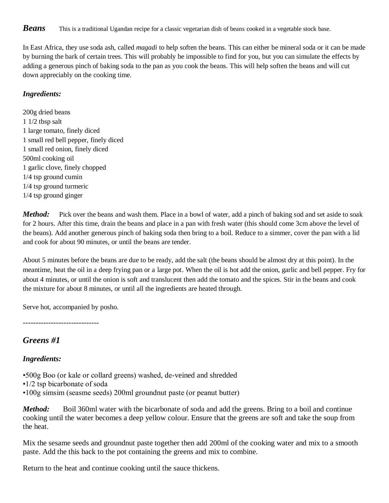#### *Beans* This is a traditional Ugandan recipe for a classic vegetarian dish of beans cooked in a vegetable stock base.

In East Africa, they use soda ash, called *magadi* to help soften the beans. This can either be mineral soda or it can be made by burning the bark of certain trees. This will probably be impossible to find for you, but you can simulate the effects by adding a generous pinch of baking soda to the pan as you cook the beans. This will help soften the beans and will cut down appreciably on the cooking time.

#### *Ingredients:*

200g dried beans 1 1/2 tbsp salt 1 large tomato, finely diced 1 small red bell pepper, finely diced 1 small red onion, finely diced 500ml cooking oil 1 garlic clove, finely chopped 1/4 tsp ground cumin 1/4 tsp ground turmeric 1/4 tsp ground ginger

*Method*: Pick over the beans and wash them. Place in a bowl of water, add a pinch of baking sod and set aside to soak for 2 hours. After this time, drain the beans and place in a pan with fresh water (this should come 3cm above the level of the beans). Add another generous pinch of baking soda then bring to a boil. Reduce to a simmer, cover the pan with a lid and cook for about 90 minutes, or until the beans are tender.

About 5 minutes before the beans are due to be ready, add the salt (the beans should be almost dry at this point). In the meantime, heat the oil in a deep frying pan or a [large](http://www.celtnet.org.uk/recipes/miscellaneous/fetch-recipe.php?rid=misc-ugandan-beans) pot. When the oil is hot add the onion, garlic and bell pepper. Fry for about 4 minutes, or until the onion is soft and translucent then add the tomato and the spices. Stir in the beans and cook the mixture for about 8 minutes, or until all the ingredients are heated through.

Serve hot, accompanied by [posho.](http://www.celtnet.org.uk/recipes/miscellaneous/fetch-recipe.php?rid=misc-posho)

------------------------------

# *Greens #1*

#### *Ingredients:*

•500g Boo (or kale or collard greens) washed, de-veined and shredded

- •1/2 tsp bicarbonate of soda
- •100g simsim (seasme seeds) 200ml groundnut paste (or peanut butter)

*Method:* Boil 360ml water with the bicarbonate of soda and add the greens. Bring to a boil and continue cooking until the water becomes a deep yellow colour. Ensure that the greens are soft and take the soup from the heat.

Mix the sesame seeds and groundnut paste together then add 200ml of the cooking water and mix to a smooth paste. Add the this back to the pot containing the greens and mix to combine.

Return to the heat and continue cooking until the sauce thickens.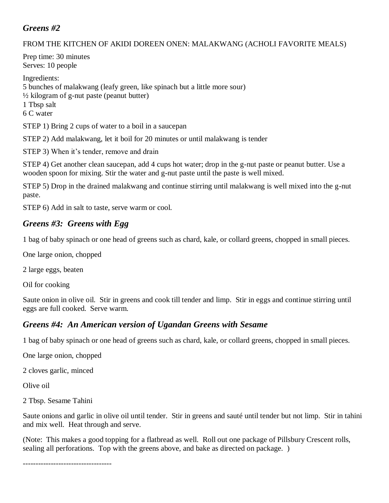# *Greens #2*

#### FROM THE KITCHEN OF AKIDI DOREEN ONEN: MALAKWANG (ACHOLI FAVORITE MEALS)

Prep time: 30 minutes Serves: 10 people

Ingredients: 5 bunches of malakwang (leafy green, like spinach but a little more sour)  $\frac{1}{2}$  kilogram of g-nut paste (peanut butter) 1 Tbsp salt 6 C water

STEP 1) Bring 2 cups of water to a boil in a saucepan

STEP 2) Add malakwang, let it boil for 20 minutes or until malakwang is tender

STEP 3) When it's tender, remove and drain

STEP 4) Get another clean saucepan, add 4 cups hot water; drop in the g-nut paste or peanut butter. Use a wooden spoon for mixing. Stir the water and g-nut paste until the paste is well mixed.

STEP 5) Drop in the drained malakwang and continue stirring until malakwang is well mixed into the g-nut paste.

STEP 6) Add in salt to taste, serve warm or cool.

### *Greens #3: Greens with Egg*

1 bag of baby spinach or one head of greens such as chard, kale, or collard greens, chopped in small pieces.

One large onion, chopped

2 large eggs, beaten

Oil for cooking

Saute onion in olive oil. Stir in greens and cook till tender and limp. Stir in eggs and continue stirring until eggs are full cooked. Serve warm.

### *Greens #4: An American version of Ugandan Greens with Sesame*

1 bag of baby spinach or one head of greens such as chard, kale, or collard greens, chopped in small pieces.

One large onion, chopped

2 cloves garlic, minced

Olive oil

2 Tbsp. Sesame Tahini

Saute onions and garlic in olive oil until tender. Stir in greens and sauté until tender but not limp. Stir in tahini and mix well. Heat through and serve.

(Note: This makes a good topping for a flatbread as well. Roll out one package of Pillsbury Crescent rolls, sealing all perforations. Top with the greens above, and bake as directed on package. )

-----------------------------------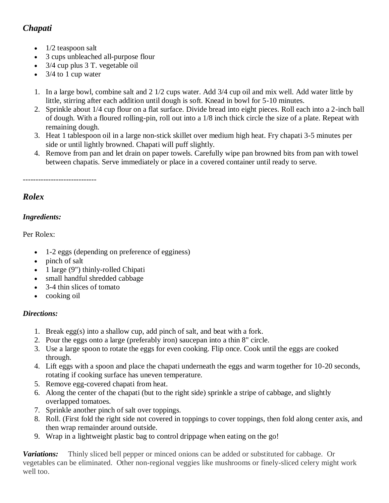# *Chapati*

- 1/2 teaspoon salt
- 3 cups unbleached all-purpose flour
- 3/4 cup plus 3 T. vegetable oil
- 3/4 to 1 cup water
- 1. In a large bowl, combine salt and 2 1/2 cups water. Add 3/4 cup oil and mix well. Add water little by little, stirring after each addition until dough is soft. Knead in bowl for 5-10 minutes.
- 2. Sprinkle about 1/4 cup flour on a flat surface. Divide bread into eight pieces. Roll each into a 2-inch ball of dough. With a floured rolling-pin, roll out into a 1/8 inch thick circle the size of a plate. Repeat with remaining dough.
- 3. Heat 1 tablespoon oil in a large non-stick skillet over medium high heat. Fry chapati 3-5 minutes per side or until lightly browned. Chapati will puff slightly.
- 4. Remove from pan and let drain on paper towels. Carefully wipe pan browned bits from pan with towel between chapatis. Serve immediately or place in a covered container until ready to serve.

-----------------------------

# *Rolex*

### *Ingredients:*

Per Rolex:

- 1-2 eggs (depending on preference of egginess)
- pinch of salt
- 1 large (9") thinly-rolled [Chipati](http://raebear.net/recipes/chapati.html)
- small handful shredded cabbage
- 3-4 thin slices of tomato
- cooking oil

### *Directions:*

- 1. Break egg(s) into a shallow cup, add pinch of salt, and beat with a fork.
- 2. Pour the eggs onto a large (preferably iron) saucepan into a thin 8" circle.
- 3. Use a large spoon to rotate the eggs for even cooking. Flip once. Cook until the eggs are cooked through.
- 4. Lift eggs with a spoon and place the chapati underneath the eggs and warm together for 10-20 seconds, rotating if cooking surface has uneven temperature.
- 5. Remove egg-covered chapati from heat.
- 6. Along the center of the chapati (but to the right side) sprinkle a stripe of cabbage, and slightly overlapped tomatoes.
- 7. Sprinkle another pinch of salt over toppings.
- 8. Roll. (First fold the right side not covered in toppings to cover toppings, then fold along center axis, and then wrap remainder around outside.
- 9. Wrap in a lightweight plastic bag to control drippage when eating on the go!

*Variations:* Thinly sliced bell pepper or minced onions can be added or substituted for cabbage. Or vegetables can be eliminated. Other non-regional veggies like mushrooms or finely-sliced celery might work well too.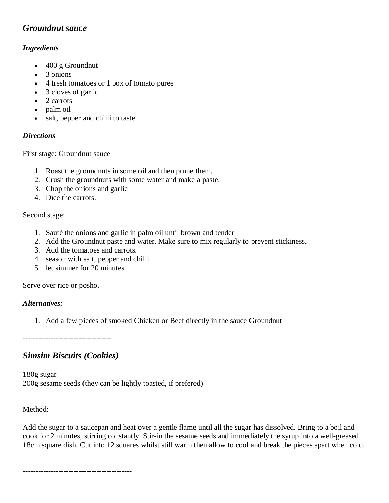### *Groundnut sauce*

#### *Ingredients*

- 400 g [Groundnut](http://recipes.wikia.com/wiki/Peanut)
- 3 [onions](http://recipes.wikia.com/wiki/Onion)
- 4 fresh [tomatoes](http://recipes.wikia.com/wiki/Tomato) or 1 box of [tomato](http://recipes.wikia.com/wiki/Tomato) puree
- 3 cloves of [garlic](http://recipes.wikia.com/wiki/Garlic)
- 2 [carrots](http://recipes.wikia.com/wiki/Carrot)
- [palm oil](http://recipes.wikia.com/wiki/Palm_oil)
- [salt,](http://recipes.wikia.com/wiki/Salt) [pepper](http://recipes.wikia.com/wiki/Pepper) and [chilli](http://recipes.wikia.com/wiki/Chile_pepper) to taste

#### *Directions*

First stage: [Groundnut](http://recipes.wikia.com/wiki/Peanut) sauce

- 1. Roast the groundnuts in some [oil](http://recipes.wikia.com/wiki/Oil) and then [prune](http://recipes.wikia.com/wiki/Prune) them.
- 2. Crush the groundnuts with some [water](http://recipes.wikia.com/wiki/Water) and make a paste.
- 3. Chop the [onions](http://recipes.wikia.com/wiki/Onion) and [garlic](http://recipes.wikia.com/wiki/Garlic)
- 4. Dice the [carrots.](http://recipes.wikia.com/wiki/Carrot)

#### Second stage:

- 1. Sauté the [onions](http://recipes.wikia.com/wiki/Onion) and [garlic](http://recipes.wikia.com/wiki/Garlic) in [palm oil](http://recipes.wikia.com/wiki/Palm_oil) until brown and tender
- 2. Add the [Groundnut](http://recipes.wikia.com/wiki/Peanut) paste and [water.](http://recipes.wikia.com/wiki/Water) Make sure to mix regularly to prevent stickiness.
- 3. Add the [tomatoes](http://recipes.wikia.com/wiki/Tomato) and [carrots.](http://recipes.wikia.com/wiki/Carrot)
- 4. season with [salt,](http://recipes.wikia.com/wiki/Salt) [pepper](http://recipes.wikia.com/wiki/Pepper) and [chilli](http://recipes.wikia.com/wiki/Chile_pepper)
- 5. let simmer for 20 minutes.

Serve over rice or posho.

#### *Alternatives:*

1. Add a few pieces of smoked [Chicken](http://recipes.wikia.com/wiki/Chicken) or [Beef](http://recipes.wikia.com/wiki/Beef) directly in the sauce [Groundnut](http://recipes.wikia.com/wiki/Peanut)

-----------------------------------

# *Simsim Biscuits (Cookies)*

180g sugar 200g sesame seeds (they can be lightly toasted, if prefered)

#### Method:

Add the sugar to a saucepan and heat over a gentle flame until all the sugar has dissolved. Bring to a boil and cook for 2 minutes, stirring constantly. Stir-in the sesame seeds and immediately the syrup into a well-greased 18cm square dish. Cut into 12 squares whilst still warm then allow to cool and break the pieces apart when cold.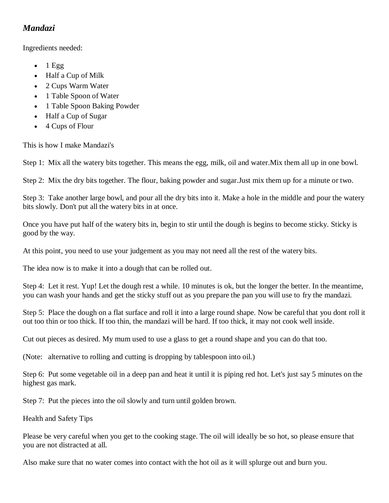# *Mandazi*

Ingredients needed:

- 1 Egg
- Half a Cup of Milk
- 2 Cups Warm Water
- 1 Table Spoon of Water
- 1 Table Spoon Baking Powder
- Half a Cup of Sugar
- 4 Cups of Flour

This is how I make Mandazi's

Step 1: Mix all the watery bits together. This means the egg, milk, oil and water.Mix them all up in one bowl.

Step 2: Mix the dry bits together. The flour, baking powder and sugar.Just mix them up for a minute or two.

Step 3: Take another large bowl, and pour all the dry bits into it. Make a hole in the middle and pour the watery bits slowly. Don't put all the watery bits in at once.

Once you have put half of the watery bits in, begin to stir until the dough is begins to become sticky. Sticky is good by the way.

At this point, you need to use your judgement as you may not need all the rest of the watery bits.

The idea now is to make it into a dough that can be rolled out.

Step 4: Let it rest. Yup! Let the dough rest a while. 10 minutes is ok, but the longer the better. In the meantime, you can wash your hands and get the sticky stuff out as you prepare the pan you will use to fry the mandazi.

Step 5: Place the dough on a flat surface and roll it into a large round shape. Now be careful that you dont roll it out too thin or too thick. If too thin, the mandazi will be hard. If too thick, it may not cook well inside.

Cut out pieces as desired. My mum used to use a glass to get a round shape and you can do that too.

(Note: alternative to rolling and cutting is dropping by tablespoon into oil.)

Step 6: Put some vegetable oil in a deep pan and heat it until it is piping red hot. Let's just say 5 minutes on the highest gas mark.

Step 7: Put the pieces into the oil slowly and turn until golden brown.

Health and Safety Tips

Please be very careful when you get to the cooking stage. The oil will ideally be so hot, so please ensure that you are not distracted at all.

Also make sure that no water comes into contact with the hot oil as it will splurge out and burn you.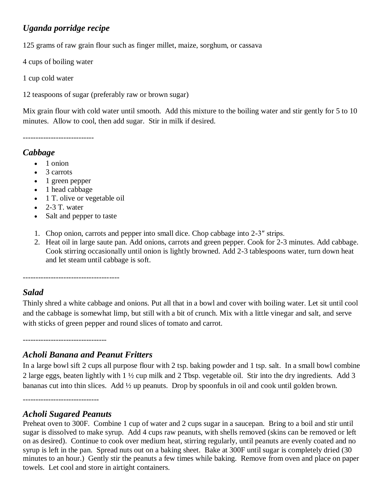# *Uganda porridge recipe*

125 grams of raw grain flour such as finger millet, maize, sorghum, or cassava

4 cups of boiling water

1 cup cold water

12 teaspoons of sugar (preferably raw or brown sugar)

Mix grain flour with cold water until smooth. Add this mixture to the boiling water and stir gently for 5 to 10 minutes. Allow to cool, then add sugar. Stir in milk if desired.

----------------------------

### *Cabbage*

- $\bullet$  1 onion
- $\bullet$  3 carrots
- 1 green pepper
- 1 head cabbage
- 1 T. olive or vegetable oil
- $\bullet$  2-3 T. water
- Salt and pepper to taste
- 1. Chop onion, carrots and pepper into small dice. Chop cabbage into 2-3″ strips.
- 2. Heat oil in large saute pan. Add onions, carrots and green pepper. Cook for 2-3 minutes. Add cabbage. Cook stirring occasionally until onion is lightly browned. Add 2-3 tablespoons water, turn down heat and let steam until cabbage is soft.

--------------------------------------

# *Salad*

Thinly shred a white cabbage and onions. Put all that in a bowl and cover with boiling water. Let sit until cool and the cabbage is somewhat limp, but still with a bit of crunch. Mix with a little vinegar and salt, and serve with sticks of green pepper and round slices of tomato and carrot.

---------------------------------

### *Acholi Banana and Peanut Fritters*

In a large bowl sift 2 cups all purpose flour with 2 tsp. baking powder and 1 tsp. salt. In a small bowl combine 2 large eggs, beaten lightly with 1 ½ cup milk and 2 Tbsp. vegetable oil. Stir into the dry ingredients. Add 3 bananas cut into thin slices. Add ½ up peanuts. Drop by spoonfuls in oil and cook until golden brown.

------------------------------

## *Acholi Sugared Peanuts*

Preheat oven to 300F. Combine 1 cup of water and 2 cups sugar in a saucepan. Bring to a boil and stir until sugar is dissolved to make syrup. Add 4 cups raw peanuts, with shells removed (skins can be removed or left on as desired). Continue to cook over medium heat, stirring regularly, until peanuts are evenly coated and no syrup is left in the pan. Spread nuts out on a baking sheet. Bake at 300F until sugar is completely dried (30 minutes to an hour.) Gently stir the peanuts a few times while baking. Remove from oven and place on paper towels. Let cool and store in airtight containers.